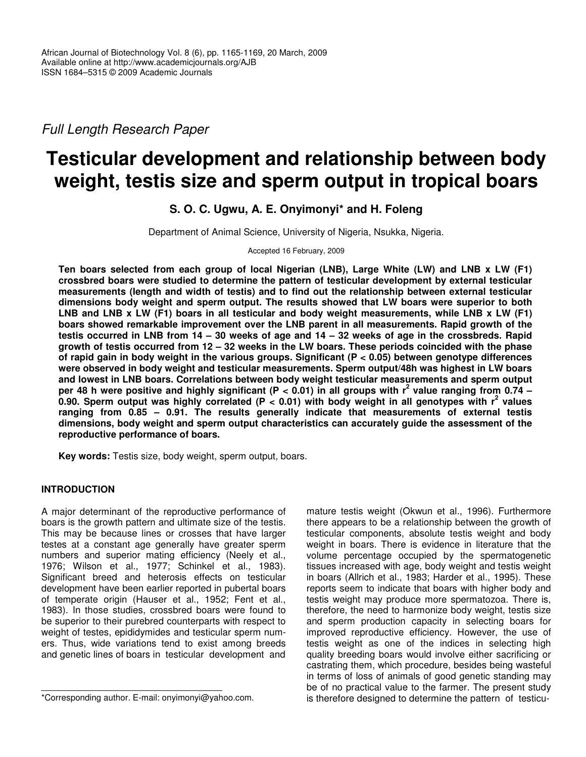*Full Length Research Paper*

# **Testicular development and relationship between body weight, testis size and sperm output in tropical boars**

# **S. O. C. Ugwu, A. E. Onyimonyi\* and H. Foleng**

Department of Animal Science, University of Nigeria, Nsukka, Nigeria.

Accepted 16 February, 2009

**Ten boars selected from each group of local Nigerian (LNB), Large White (LW) and LNB x LW (F1) crossbred boars were studied to determine the pattern of testicular development by external testicular measurements (length and width of testis) and to find out the relationship between external testicular dimensions body weight and sperm output. The results showed that LW boars were superior to both** LNB and LNB x LW (F1) boars in all testicular and body weight measurements, while LNB x LW (F1) **boars showed remarkable improvement over the LNB parent in all measurements. Rapid growth of the** testis occurred in LNB from  $14 - 30$  weeks of age and  $14 - 32$  weeks of age in the crossbreds. Rapid growth of testis occurred from 12 - 32 weeks in the LW boars. These periods coincided with the phase **of rapid gain in body weight in the various groups. Significant (P < 0.05) between genotype differences were observed in body weight and testicular measurements. Sperm output/48h was highest in LW boars and lowest in LNB boars. Correlations between body weight testicular measurements and sperm output** per 48 h were positive and highly significant (P < 0.01) in all groups with  $r^2$  value ranging from 0.74 -0.90. Sperm output was highly correlated (P < 0.01) with body weight in all genotypes with  $r^2$  values **ranging from 0.85 – 0.91. The results generally indicate that measurements of external testis dimensions, body weight and sperm output characteristics can accurately guide the assessment of the reproductive performance of boars.**

**Key words:** Testis size, body weight, sperm output, boars.

# **INTRODUCTION**

A major determinant of the reproductive performance of boars is the growth pattern and ultimate size of the testis. This may be because lines or crosses that have larger testes at a constant age generally have greater sperm numbers and superior mating efficiency (Neely et al*.*, 1976; Wilson et al., 1977; Schinkel et al., 1983). Significant breed and heterosis effects on testicular development have been earlier reported in pubertal boars of temperate origin (Hauser et al., 1952; Fent et al., 1983). In those studies, crossbred boars were found to be superior to their purebred counterparts with respect to weight of testes, epididymides and testicular sperm numers. Thus, wide variations tend to exist among breeds and genetic lines of boars in testicular development and

mature testis weight (Okwun et al*.*, 1996). Furthermore there appears to be a relationship between the growth of testicular components, absolute testis weight and body weight in boars. There is evidence in literature that the volume percentage occupied by the spermatogenetic tissues increased with age, body weight and testis weight in boars (Allrich et al*.*, 1983; Harder et al*.*, 1995). These reports seem to indicate that boars with higher body and testis weight may produce more spermatozoa. There is, therefore, the need to harmonize body weight, testis size and sperm production capacity in selecting boars for improved reproductive efficiency. However, the use of testis weight as one of the indices in selecting high quality breeding boars would involve either sacrificing or castrating them, which procedure, besides being wasteful in terms of loss of animals of good genetic standing may be of no practical value to the farmer. The present study is therefore designed to determine the pattern of testicu-

<sup>\*</sup>Corresponding author. E-mail: onyimonyi@yahoo.com.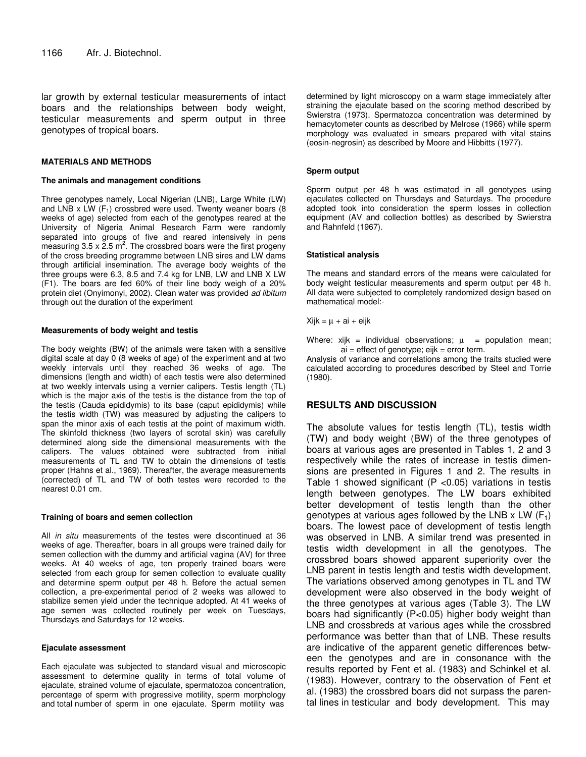lar growth by external testicular measurements of intact boars and the relationships between body weight, testicular measurements and sperm output in three genotypes of tropical boars.

#### **MATERIALS AND METHODS**

#### **The animals and management conditions**

Three genotypes namely, Local Nigerian (LNB), Large White (LW) and LNB  $x$  LW (F<sub>1</sub>) crossbred were used. Twenty weaner boars (8 weeks of age) selected from each of the genotypes reared at the University of Nigeria Animal Research Farm were randomly separated into groups of five and reared intensively in pens measuring  $3.5 \times 2.5$  m<sup>2</sup>. The crossbred boars were the first progeny of the cross breeding programme between LNB sires and LW dams through artificial insemination. The average body weights of the three groups were 6.3, 8.5 and 7.4 kg for LNB, LW and LNB X LW (F1). The boars are fed 60% of their line body weigh of a 20% protein diet (Onyimonyi, 2002). Clean water was provided *ad libitum* through out the duration of the experiment

#### **Measurements of body weight and testis**

The body weights (BW) of the animals were taken with a sensitive digital scale at day 0 (8 weeks of age) of the experiment and at two weekly intervals until they reached 36 weeks of age. The dimensions (length and width) of each testis were also determined at two weekly intervals using a vernier calipers. Testis length (TL) which is the major axis of the testis is the distance from the top of the testis (Cauda epididymis) to its base (caput epididymis) while the testis width (TW) was measured by adjusting the calipers to span the minor axis of each testis at the point of maximum width. The skinfold thickness (two layers of scrotal skin) was carefully determined along side the dimensional measurements with the calipers. The values obtained were subtracted from initial measurements of TL and TW to obtain the dimensions of testis proper (Hahns et al*.*, 1969). Thereafter, the average measurements (corrected) of TL and TW of both testes were recorded to the nearest 0.01 cm.

#### **Training of boars and semen collection**

All *in situ* measurements of the testes were discontinued at 36 weeks of age. Thereafter, boars in all groups were trained daily for semen collection with the dummy and artificial vagina (AV) for three weeks. At 40 weeks of age, ten properly trained boars were selected from each group for semen collection to evaluate quality and determine sperm output per 48 h. Before the actual semen collection, a pre-experimental period of 2 weeks was allowed to stabilize semen yield under the technique adopted. At 41 weeks of age semen was collected routinely per week on Tuesdays, Thursdays and Saturdays for 12 weeks.

#### **Ejaculate assessment**

Each ejaculate was subjected to standard visual and microscopic assessment to determine quality in terms of total volume of ejaculate, strained volume of ejaculate, spermatozoa concentration, percentage of sperm with progressive motility, sperm morphology and total number of sperm in one ejaculate. Sperm motility was

determined by light microscopy on a warm stage immediately after straining the ejaculate based on the scoring method described by Swierstra (1973). Spermatozoa concentration was determined by hemacytometer counts as described by Melrose (1966) while sperm morphology was evaluated in smears prepared with vital stains (eosin-negrosin) as described by Moore and Hibbitts (1977).

#### **Sperm output**

Sperm output per 48 h was estimated in all genotypes using ejaculates collected on Thursdays and Saturdays. The procedure adopted took into consideration the sperm losses in collection equipment (AV and collection bottles) as described by Swierstra and Rahnfeld (1967).

#### **Statistical analysis**

The means and standard errors of the means were calculated for body weight testicular measurements and sperm output per 48 h. All data were subjected to completely randomized design based on mathematical model:-

 $Xijk = \mu + ai + eijk$ 

Where:  $xijk = individual observations; \mu = population mean;$  $ai =$  effect of genotype; eijk = error term.

Analysis of variance and correlations among the traits studied were calculated according to procedures described by Steel and Torrie (1980).

## **RESULTS AND DISCUSSION**

The absolute values for testis length (TL), testis width (TW) and body weight (BW) of the three genotypes of boars at various ages are presented in Tables 1, 2 and 3 respectively while the rates of increase in testis dimensions are presented in Figures 1 and 2. The results in Table 1 showed significant ( $P$  <0.05) variations in testis length between genotypes. The LW boars exhibited better development of testis length than the other genotypes at various ages followed by the LNB x LW  $(F_1)$ boars. The lowest pace of development of testis length was observed in LNB. A similar trend was presented in testis width development in all the genotypes. The crossbred boars showed apparent superiority over the LNB parent in testis length and testis width development. The variations observed among genotypes in TL and TW development were also observed in the body weight of the three genotypes at various ages (Table 3). The LW boars had significantly (P<0.05) higher body weight than LNB and crossbreds at various ages while the crossbred performance was better than that of LNB. These results are indicative of the apparent genetic differences between the genotypes and are in consonance with the results reported by Fent et al*.* (1983) and Schinkel et al. (1983). However, contrary to the observation of Fent et al*.* (1983) the crossbred boars did not surpass the parental lines in testicular and body development. This may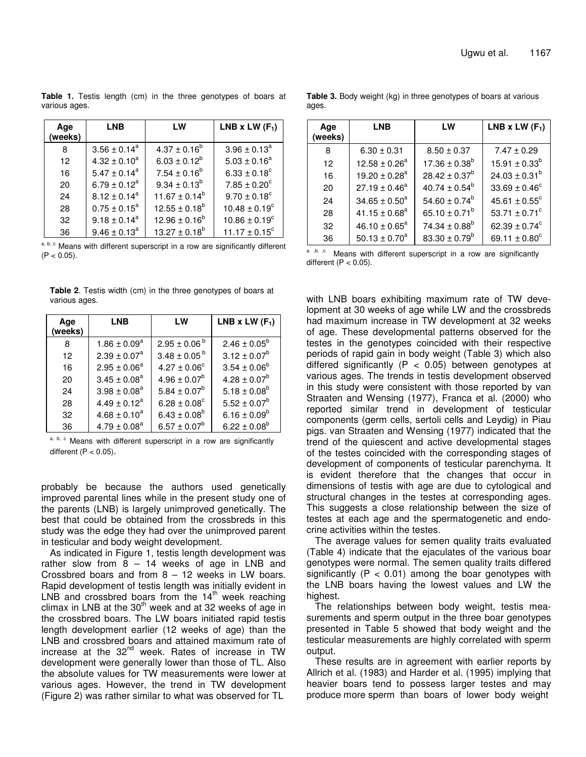**Table 1.** Testis length (cm) in the three genotypes of boars at various ages.

| Age<br>(weeks) | <b>LNB</b>        | LW                 | LNB x LW $(F_1)$         |
|----------------|-------------------|--------------------|--------------------------|
| 8              | $3.56 \pm 0.14^a$ | $4.37 \pm 0.16^b$  | $3.96 \pm 0.13^a$        |
| 12             | $4.32 \pm 0.10^a$ | $6.03 \pm 0.12^b$  | $5.03 \pm 0.16^a$        |
| 16             | $5.47 \pm 0.14^a$ | $7.54 \pm 0.16^b$  | $6.33 \pm 0.18^c$        |
| 20             | $6.79 \pm 0.12^a$ | $9.34 \pm 0.13^b$  | $7.85 \pm 0.20^c$        |
| 24             | $8.12 \pm 0.14^a$ | $11.67 \pm 0.14^b$ | $9.70 \pm 0.18^{\circ}$  |
| 28             | $0.75 \pm 0.15^a$ | $12.55 \pm 0.18^b$ | $10.48 \pm 0.19^c$       |
| 32             | $9.18 \pm 0.14^a$ | $12.96 \pm 0.16^b$ | $10.86 \pm 0.19^c$       |
| 36             | $9.46 \pm 0.13^a$ | $13.27 \pm 0.18^b$ | $11.17 \pm 0.15^{\circ}$ |

a, b, c Means with different superscript in a row are significantly different  $(P < 0.05)$ .

**Table 2**. Testis width (cm) in the three genotypes of boars at various ages.

| Age<br>(weeks) | LNB                     | LW                           | LNB x LW $(F_1)$        |
|----------------|-------------------------|------------------------------|-------------------------|
| 8              | $1.86 \pm 0.09^a$       | $2.95 \pm 0.06^{\mathrm{b}}$ | $2.46 \pm 0.05^{\circ}$ |
| 12             | $2.39 \pm 0.07^a$       | $3.48 \pm 0.05^{b}$          | $3.12 \pm 0.07^b$       |
| 16             | $2.95 \pm 0.06^a$       | $4.27 \pm 0.06^{\circ}$      | $3.54 \pm 0.06^b$       |
| 20             | $3.45 \pm 0.08^a$       | $4.96 \pm 0.07^b$            | $4.28 \pm 0.07^b$       |
| 24             | $3.98 \pm 0.08^{\circ}$ | $5.84 \pm 0.07^b$            | $5.18 \pm 0.08^b$       |
| 28             | $4.49 \pm 0.12^a$       | $6.28 \pm 0.08^{\circ}$      | $5.52 \pm 0.07^b$       |
| 32             | $4.68 \pm 0.10^a$       | $6.43 \pm 0.08^b$            | $6.16 \pm 0.09^b$       |
| 36             | $4.79 \pm 0.08^a$       | $6.57 \pm 0.07^b$            | $6.22 \pm 0.08^b$       |

a, b, c Means with different superscript in a row are significantly different  $(P < 0.05)$ .

probably be because the authors used genetically improved parental lines while in the present study one of the parents (LNB) is largely unimproved genetically. The best that could be obtained from the crossbreds in this study was the edge they had over the unimproved parent in testicular and body weight development.

As indicated in Figure 1, testis length development was rather slow from  $8 - 14$  weeks of age in LNB and Crossbred boars and from 8 – 12 weeks in LW boars. Rapid development of testis length was initially evident in LNB and crossbred boars from the  $14<sup>th</sup>$  week reaching climax in LNB at the 30<sup>th</sup> week and at 32 weeks of age in the crossbred boars. The LW boars initiated rapid testis length development earlier (12 weeks of age) than the LNB and crossbred boars and attained maximum rate of increase at the 32<sup>nd</sup> week. Rates of increase in TW development were generally lower than those of TL. Also the absolute values for TW measurements were lower at various ages. However, the trend in TW development (Figure 2) was rather similar to what was observed for TL

**Table 3.** Body weight (kg) in three genotypes of boars at various ages.

| Age<br>(weeks) | <b>LNB</b>         | LW                            | LNB x LW $(F_1)$              |
|----------------|--------------------|-------------------------------|-------------------------------|
| 8              | $6.30 \pm 0.31$    | $8.50 \pm 0.37$               | $7.47 \pm 0.29$               |
| 12             | $12.58 \pm 0.26^a$ | $17.36 \pm 0.38^{\circ}$      | $15.91 \pm 0.33^b$            |
| 16             | $19.20 \pm 0.28^a$ | $28.42 \pm 0.37^b$            | $24.03 \pm 0.31^b$            |
| 20             | $27.19 \pm 0.46^a$ | $40.74 \pm 0.54^b$            | $33.69 \pm 0.46^{\circ}$      |
| 24             | $34.65 \pm 0.50^a$ | $54.60 \pm 0.74^b$            | $45.61 \pm 0.55^{\circ}$      |
| 28             | $41.15 \pm 0.68^a$ | 65.10 $\pm$ 0.71 <sup>b</sup> | 53.71 $\pm$ 0.71 <sup>c</sup> |
| 32             | $46.10 \pm 0.65^a$ | $74.34 \pm 0.88^b$            | 62.39 $\pm$ 0.74 $\rm{^c}$    |
| 36             | $50.13 \pm 0.70^a$ | $83.30 \pm 0.79^b$            | 69.11 $\pm$ 0.80 <sup>c</sup> |
|                |                    |                               |                               |

a. ,b. ,c Means with different superscript in a row are significantly different  $(P < 0.05)$ .

with LNB boars exhibiting maximum rate of TW development at 30 weeks of age while LW and the crossbreds had maximum increase in TW development at 32 weeks of age. These developmental patterns observed for the testes in the genotypes coincided with their respective periods of rapid gain in body weight (Table 3) which also differed significantly ( $P < 0.05$ ) between genotypes at various ages. The trends in testis development observed in this study were consistent with those reported by van Straaten and Wensing (1977), Franca et al. (2000) who reported similar trend in development of testicular components (germ cells, sertoli cells and Leydig) in Piau pigs. van Straaten and Wensing (1977) indicated that the trend of the quiescent and active developmental stages of the testes coincided with the corresponding stages of development of components of testicular parenchyma. It is evident therefore that the changes that occur in dimensions of testis with age are due to cytological and structural changes in the testes at corresponding ages. This suggests a close relationship between the size of testes at each age and the spermatogenetic and endocrine activities within the testes.

The average values for semen quality traits evaluated (Table 4) indicate that the ejaculates of the various boar genotypes were normal. The semen quality traits differed significantly ( $P < 0.01$ ) among the boar genotypes with the LNB boars having the lowest values and LW the highest.

The relationships between body weight, testis measurements and sperm output in the three boar genotypes presented in Table 5 showed that body weight and the testicular measurements are highly correlated with sperm output.

These results are in agreement with earlier reports by Allrich et al. (1983) and Harder et al. (1995) implying that heavier boars tend to possess larger testes and may produce more sperm than boars of lower body weight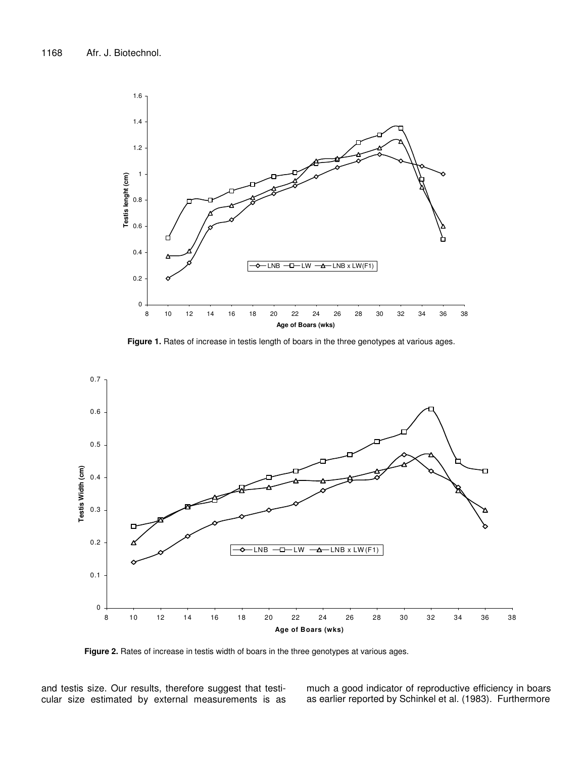

**Figure 1.** Rates of increase in testis length of boars in the three genotypes at various ages.



**Figure 2.** Rates of increase in testis width of boars in the three genotypes at various ages.

and testis size. Our results, therefore suggest that testicular size estimated by external measurements is as much a good indicator of reproductive efficiency in boars as earlier reported by Schinkel et al*.* (1983). Furthermore